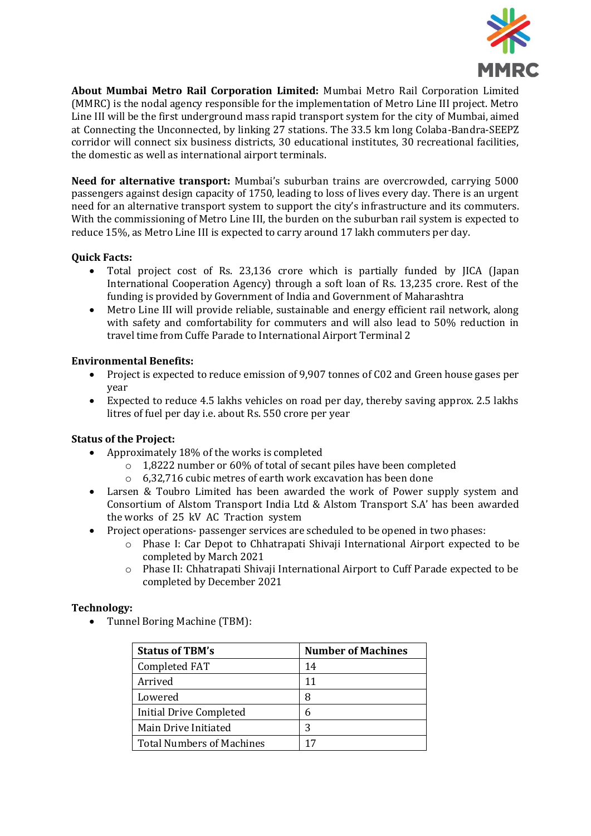

**About Mumbai Metro Rail Corporation Limited:** Mumbai Metro Rail Corporation Limited (MMRC) is the nodal agency responsible for the implementation of Metro Line III project. Metro Line III will be the first underground mass rapid transport system for the city of Mumbai, aimed at Connecting the Unconnected, by linking 27 stations. The 33.5 km long Colaba-Bandra-SEEPZ corridor will connect six business districts, 30 educational institutes, 30 recreational facilities, the domestic as well as international airport terminals.

**Need for alternative transport:** Mumbai's suburban trains are overcrowded, carrying 5000 passengers against design capacity of 1750, leading to loss of lives every day. There is an urgent need for an alternative transport system to support the city's infrastructure and its commuters. With the commissioning of Metro Line III, the burden on the suburban rail system is expected to reduce 15%, as Metro Line III is expected to carry around 17 lakh commuters per day.

## **Quick Facts:**

- Total project cost of Rs. 23,136 crore which is partially funded by JICA (Japan International Cooperation Agency) through a soft loan of Rs. 13,235 crore. Rest of the funding is provided by Government of India and Government of Maharashtra
- Metro Line III will provide reliable, sustainable and energy efficient rail network, along with safety and comfortability for commuters and will also lead to 50% reduction in travel time from Cuffe Parade to International Airport Terminal 2

## **Environmental Benefits:**

- Project is expected to reduce emission of 9,907 tonnes of C02 and Green house gases per year
- Expected to reduce 4.5 lakhs vehicles on road per day, thereby saving approx. 2.5 lakhs litres of fuel per day i.e. about Rs. 550 crore per year

## **Status of the Project:**

- Approximately 18% of the works is completed
	- o 1,8222 number or 60% of total of secant piles have been completed
	- o 6,32,716 cubic metres of earth work excavation has been done
- Larsen & Toubro Limited has been awarded the work of Power supply system and Consortium of Alstom Transport India Ltd & Alstom Transport S.A' has been awarded the works of 25 kV AC Traction system
- Project operations- passenger services are scheduled to be opened in two phases:
	- o Phase I: Car Depot to Chhatrapati Shivaji International Airport expected to be completed by March 2021
	- o Phase II: Chhatrapati Shivaji International Airport to Cuff Parade expected to be completed by December 2021

## **Technology:**

Tunnel Boring Machine (TBM):

| <b>Status of TBM's</b>           | <b>Number of Machines</b> |
|----------------------------------|---------------------------|
| Completed FAT                    | 14                        |
| Arrived                          | 11                        |
| Lowered                          | 8                         |
| <b>Initial Drive Completed</b>   | 6                         |
| Main Drive Initiated             | 3                         |
| <b>Total Numbers of Machines</b> |                           |